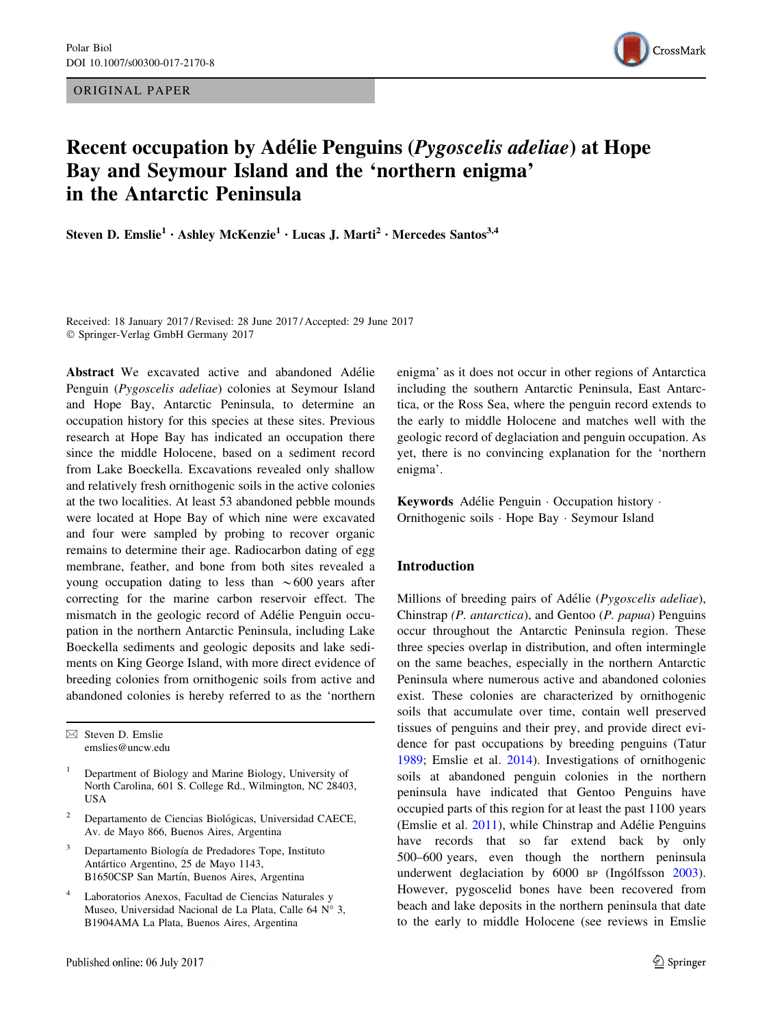ORIGINAL PAPER



# Recent occupation by Adélie Penguins (*Pygoscelis adeliae*) at Hope Bay and Seymour Island and the 'northern enigma' in the Antarctic Peninsula

Steven D. Emslie<sup>1</sup> · Ashley McKenzie<sup>1</sup> · Lucas J. Marti<sup>2</sup> · Mercedes Santos<sup>3,4</sup>

Received: 18 January 2017 / Revised: 28 June 2017 / Accepted: 29 June 2017 - Springer-Verlag GmbH Germany 2017

Abstract We excavated active and abandoned Adélie Penguin (Pygoscelis adeliae) colonies at Seymour Island and Hope Bay, Antarctic Peninsula, to determine an occupation history for this species at these sites. Previous research at Hope Bay has indicated an occupation there since the middle Holocene, based on a sediment record from Lake Boeckella. Excavations revealed only shallow and relatively fresh ornithogenic soils in the active colonies at the two localities. At least 53 abandoned pebble mounds were located at Hope Bay of which nine were excavated and four were sampled by probing to recover organic remains to determine their age. Radiocarbon dating of egg membrane, feather, and bone from both sites revealed a young occupation dating to less than  $\sim 600$  years after correcting for the marine carbon reservoir effect. The mismatch in the geologic record of Adélie Penguin occupation in the northern Antarctic Peninsula, including Lake Boeckella sediments and geologic deposits and lake sediments on King George Island, with more direct evidence of breeding colonies from ornithogenic soils from active and abandoned colonies is hereby referred to as the 'northern

 $\boxtimes$  Steven D. Emslie emslies@uncw.edu

- <sup>1</sup> Department of Biology and Marine Biology, University of North Carolina, 601 S. College Rd., Wilmington, NC 28403, USA
- Departamento de Ciencias Biológicas, Universidad CAECE, Av. de Mayo 866, Buenos Aires, Argentina
- Departamento Biología de Predadores Tope, Instituto Antártico Argentino, 25 de Mayo 1143, B1650CSP San Martín, Buenos Aires, Argentina
- Laboratorios Anexos, Facultad de Ciencias Naturales y Museo, Universidad Nacional de La Plata, Calle 64  $N^{\circ}$  3, B1904AMA La Plata, Buenos Aires, Argentina

enigma' as it does not occur in other regions of Antarctica including the southern Antarctic Peninsula, East Antarctica, or the Ross Sea, where the penguin record extends to the early to middle Holocene and matches well with the geologic record of deglaciation and penguin occupation. As yet, there is no convincing explanation for the 'northern enigma'.

Keywords Adélie Penguin · Occupation history · Ornithogenic soils - Hope Bay - Seymour Island

## Introduction

Millions of breeding pairs of Adélie (Pygoscelis adeliae), Chinstrap (P. antarctica), and Gentoo (P. papua) Penguins occur throughout the Antarctic Peninsula region. These three species overlap in distribution, and often intermingle on the same beaches, especially in the northern Antarctic Peninsula where numerous active and abandoned colonies exist. These colonies are characterized by ornithogenic soils that accumulate over time, contain well preserved tissues of penguins and their prey, and provide direct evidence for past occupations by breeding penguins (Tatur [1989](#page-6-0); Emslie et al. [2014\)](#page-5-0). Investigations of ornithogenic soils at abandoned penguin colonies in the northern peninsula have indicated that Gentoo Penguins have occupied parts of this region for at least the past 1100 years (Emslie et al.  $2011$ ), while Chinstrap and Adélie Penguins have records that so far extend back by only 500–600 years, even though the northern peninsula underwent deglaciation by  $6000$  BP (Ingólfsson [2003](#page-6-0)). However, pygoscelid bones have been recovered from beach and lake deposits in the northern peninsula that date to the early to middle Holocene (see reviews in Emslie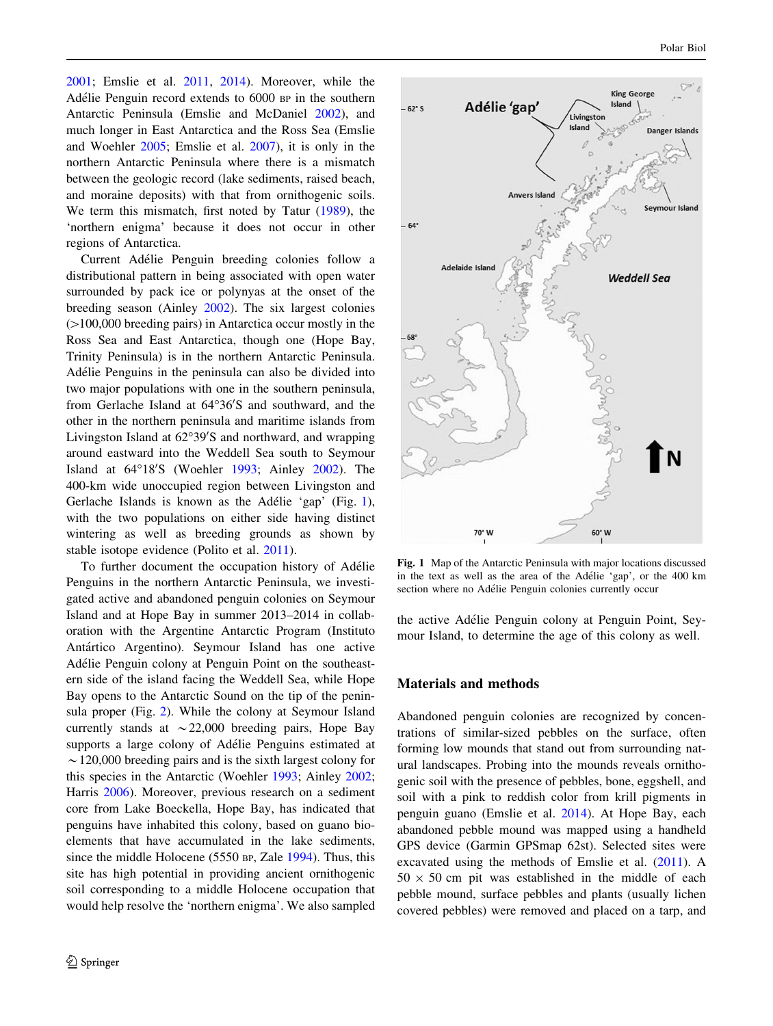<span id="page-1-0"></span>[2001;](#page-5-0) Emslie et al. [2011,](#page-5-0) [2014\)](#page-5-0). Moreover, while the Adélie Penguin record extends to 6000 BP in the southern Antarctic Peninsula (Emslie and McDaniel [2002\)](#page-5-0), and much longer in East Antarctica and the Ross Sea (Emslie and Woehler [2005](#page-5-0); Emslie et al. [2007](#page-5-0)), it is only in the northern Antarctic Peninsula where there is a mismatch between the geologic record (lake sediments, raised beach, and moraine deposits) with that from ornithogenic soils. We term this mismatch, first noted by Tatur ([1989\)](#page-6-0), the 'northern enigma' because it does not occur in other regions of Antarctica.

Current Adélie Penguin breeding colonies follow a distributional pattern in being associated with open water surrounded by pack ice or polynyas at the onset of the breeding season (Ainley [2002](#page-5-0)). The six largest colonies  $(>100,000$  breeding pairs) in Antarctica occur mostly in the Ross Sea and East Antarctica, though one (Hope Bay, Trinity Peninsula) is in the northern Antarctic Peninsula. Adélie Penguins in the peninsula can also be divided into two major populations with one in the southern peninsula, from Gerlache Island at 64°36'S and southward, and the other in the northern peninsula and maritime islands from Livingston Island at 62°39'S and northward, and wrapping around eastward into the Weddell Sea south to Seymour Island at 64°18'S (Woehler [1993](#page-6-0); Ainley [2002](#page-5-0)). The 400-km wide unoccupied region between Livingston and Gerlache Islands is known as the Adélie 'gap' (Fig. 1), with the two populations on either side having distinct wintering as well as breeding grounds as shown by stable isotope evidence (Polito et al. [2011](#page-6-0)).

To further document the occupation history of Adélie Penguins in the northern Antarctic Peninsula, we investigated active and abandoned penguin colonies on Seymour Island and at Hope Bay in summer 2013–2014 in collaboration with the Argentine Antarctic Program (Instituto Antártico Argentino). Seymour Island has one active Adélie Penguin colony at Penguin Point on the southeastern side of the island facing the Weddell Sea, while Hope Bay opens to the Antarctic Sound on the tip of the peninsula proper (Fig. [2](#page-2-0)). While the colony at Seymour Island currently stands at  $\sim$  22,000 breeding pairs, Hope Bay supports a large colony of Adélie Penguins estimated at  $\sim$  120,000 breeding pairs and is the sixth largest colony for this species in the Antarctic (Woehler [1993;](#page-6-0) Ainley [2002](#page-5-0); Harris [2006\)](#page-5-0). Moreover, previous research on a sediment core from Lake Boeckella, Hope Bay, has indicated that penguins have inhabited this colony, based on guano bioelements that have accumulated in the lake sediments, since the middle Holocene (5550 BP, Zale [1994](#page-6-0)). Thus, this site has high potential in providing ancient ornithogenic soil corresponding to a middle Holocene occupation that would help resolve the 'northern enigma'. We also sampled



Fig. 1 Map of the Antarctic Peninsula with major locations discussed in the text as well as the area of the Adélie 'gap', or the 400 km section where no Adélie Penguin colonies currently occur

the active Adélie Penguin colony at Penguin Point, Seymour Island, to determine the age of this colony as well.

#### Materials and methods

Abandoned penguin colonies are recognized by concentrations of similar-sized pebbles on the surface, often forming low mounds that stand out from surrounding natural landscapes. Probing into the mounds reveals ornithogenic soil with the presence of pebbles, bone, eggshell, and soil with a pink to reddish color from krill pigments in penguin guano (Emslie et al. [2014\)](#page-5-0). At Hope Bay, each abandoned pebble mound was mapped using a handheld GPS device (Garmin GPSmap 62st). Selected sites were excavated using the methods of Emslie et al. ([2011\)](#page-5-0). A  $50 \times 50$  cm pit was established in the middle of each pebble mound, surface pebbles and plants (usually lichen covered pebbles) were removed and placed on a tarp, and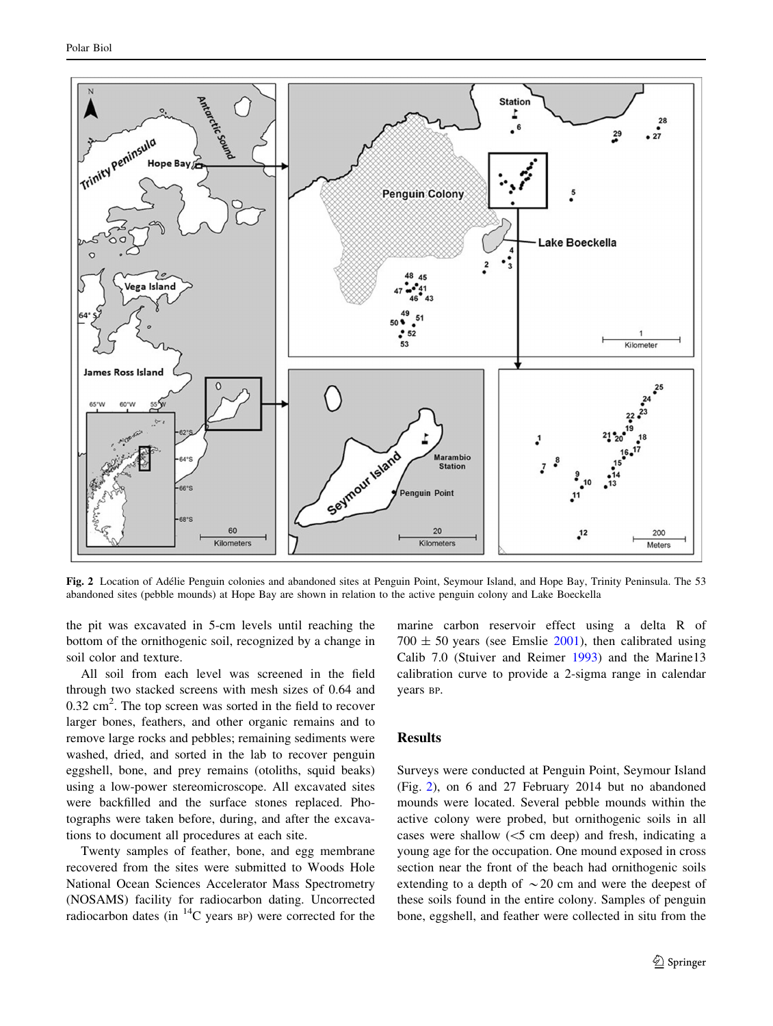<span id="page-2-0"></span>

Fig. 2 Location of Adélie Penguin colonies and abandoned sites at Penguin Point, Seymour Island, and Hope Bay, Trinity Peninsula. The 53 abandoned sites (pebble mounds) at Hope Bay are shown in relation to the active penguin colony and Lake Boeckella

the pit was excavated in 5-cm levels until reaching the bottom of the ornithogenic soil, recognized by a change in soil color and texture.

All soil from each level was screened in the field through two stacked screens with mesh sizes of 0.64 and  $0.32 \text{ cm}^2$ . The top screen was sorted in the field to recover larger bones, feathers, and other organic remains and to remove large rocks and pebbles; remaining sediments were washed, dried, and sorted in the lab to recover penguin eggshell, bone, and prey remains (otoliths, squid beaks) using a low-power stereomicroscope. All excavated sites were backfilled and the surface stones replaced. Photographs were taken before, during, and after the excavations to document all procedures at each site.

Twenty samples of feather, bone, and egg membrane recovered from the sites were submitted to Woods Hole National Ocean Sciences Accelerator Mass Spectrometry (NOSAMS) facility for radiocarbon dating. Uncorrected radiocarbon dates (in  ${}^{14}C$  years BP) were corrected for the marine carbon reservoir effect using a delta R of  $700 \pm 50$  years (see Emslie [2001\)](#page-5-0), then calibrated using Calib 7.0 (Stuiver and Reimer [1993\)](#page-6-0) and the Marine13 calibration curve to provide a 2-sigma range in calendar years BP.

### Results

Surveys were conducted at Penguin Point, Seymour Island (Fig. 2), on 6 and 27 February 2014 but no abandoned mounds were located. Several pebble mounds within the active colony were probed, but ornithogenic soils in all cases were shallow  $(<5$  cm deep) and fresh, indicating a young age for the occupation. One mound exposed in cross section near the front of the beach had ornithogenic soils extending to a depth of  $\sim$  20 cm and were the deepest of these soils found in the entire colony. Samples of penguin bone, eggshell, and feather were collected in situ from the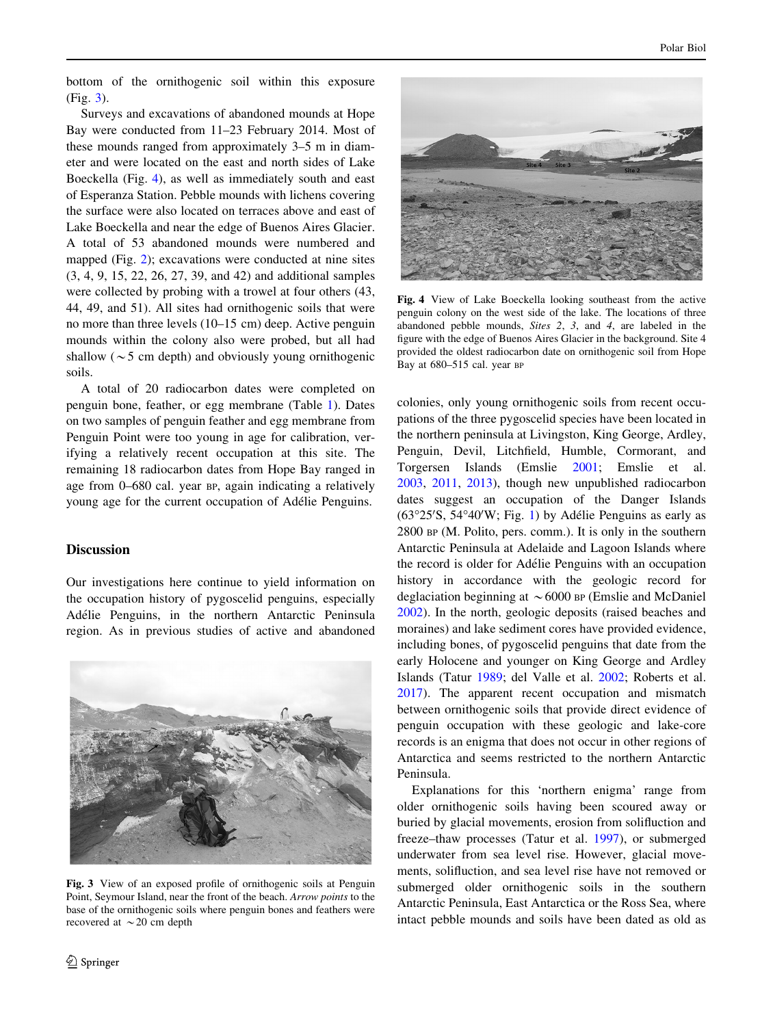<span id="page-3-0"></span>bottom of the ornithogenic soil within this exposure (Fig. 3).

Surveys and excavations of abandoned mounds at Hope Bay were conducted from 11–23 February 2014. Most of these mounds ranged from approximately 3–5 m in diameter and were located on the east and north sides of Lake Boeckella (Fig. 4), as well as immediately south and east of Esperanza Station. Pebble mounds with lichens covering the surface were also located on terraces above and east of Lake Boeckella and near the edge of Buenos Aires Glacier. A total of 53 abandoned mounds were numbered and mapped (Fig. [2](#page-2-0)); excavations were conducted at nine sites (3, 4, 9, 15, 22, 26, 27, 39, and 42) and additional samples were collected by probing with a trowel at four others (43, 44, 49, and 51). All sites had ornithogenic soils that were no more than three levels (10–15 cm) deep. Active penguin mounds within the colony also were probed, but all had shallow ( $\sim$  5 cm depth) and obviously young ornithogenic soils.

A total of 20 radiocarbon dates were completed on penguin bone, feather, or egg membrane (Table [1\)](#page-4-0). Dates on two samples of penguin feather and egg membrane from Penguin Point were too young in age for calibration, verifying a relatively recent occupation at this site. The remaining 18 radiocarbon dates from Hope Bay ranged in age from 0–680 cal. year BP, again indicating a relatively young age for the current occupation of Adélie Penguins.

#### **Discussion**

Our investigations here continue to yield information on the occupation history of pygoscelid penguins, especially Adélie Penguins, in the northern Antarctic Peninsula region. As in previous studies of active and abandoned



Fig. 3 View of an exposed profile of ornithogenic soils at Penguin Point, Seymour Island, near the front of the beach. Arrow points to the base of the ornithogenic soils where penguin bones and feathers were recovered at  $\sim$  20 cm depth



Fig. 4 View of Lake Boeckella looking southeast from the active penguin colony on the west side of the lake. The locations of three abandoned pebble mounds, Sites 2, 3, and 4, are labeled in the figure with the edge of Buenos Aires Glacier in the background. Site 4 provided the oldest radiocarbon date on ornithogenic soil from Hope Bay at 680-515 cal. year BP

colonies, only young ornithogenic soils from recent occupations of the three pygoscelid species have been located in the northern peninsula at Livingston, King George, Ardley, Penguin, Devil, Litchfield, Humble, Cormorant, and Torgersen Islands (Emslie [2001](#page-5-0); Emslie et al. [2003](#page-5-0), [2011,](#page-5-0) [2013\)](#page-5-0), though new unpublished radiocarbon dates suggest an occupation of the Danger Islands  $(63°25'S, 54°40'W; Fig. 1)$  $(63°25'S, 54°40'W; Fig. 1)$  by Adélie Penguins as early as 2800 BP (M. Polito, pers. comm.). It is only in the southern Antarctic Peninsula at Adelaide and Lagoon Islands where the record is older for Adélie Penguins with an occupation history in accordance with the geologic record for deglaciation beginning at  $\sim 6000$  BP (Emslie and McDaniel [2002](#page-5-0)). In the north, geologic deposits (raised beaches and moraines) and lake sediment cores have provided evidence, including bones, of pygoscelid penguins that date from the early Holocene and younger on King George and Ardley Islands (Tatur [1989](#page-6-0); del Valle et al. [2002](#page-5-0); Roberts et al. [2017](#page-6-0)). The apparent recent occupation and mismatch between ornithogenic soils that provide direct evidence of penguin occupation with these geologic and lake-core records is an enigma that does not occur in other regions of Antarctica and seems restricted to the northern Antarctic Peninsula.

Explanations for this 'northern enigma' range from older ornithogenic soils having been scoured away or buried by glacial movements, erosion from solifluction and freeze–thaw processes (Tatur et al. [1997](#page-6-0)), or submerged underwater from sea level rise. However, glacial movements, solifluction, and sea level rise have not removed or submerged older ornithogenic soils in the southern Antarctic Peninsula, East Antarctica or the Ross Sea, where intact pebble mounds and soils have been dated as old as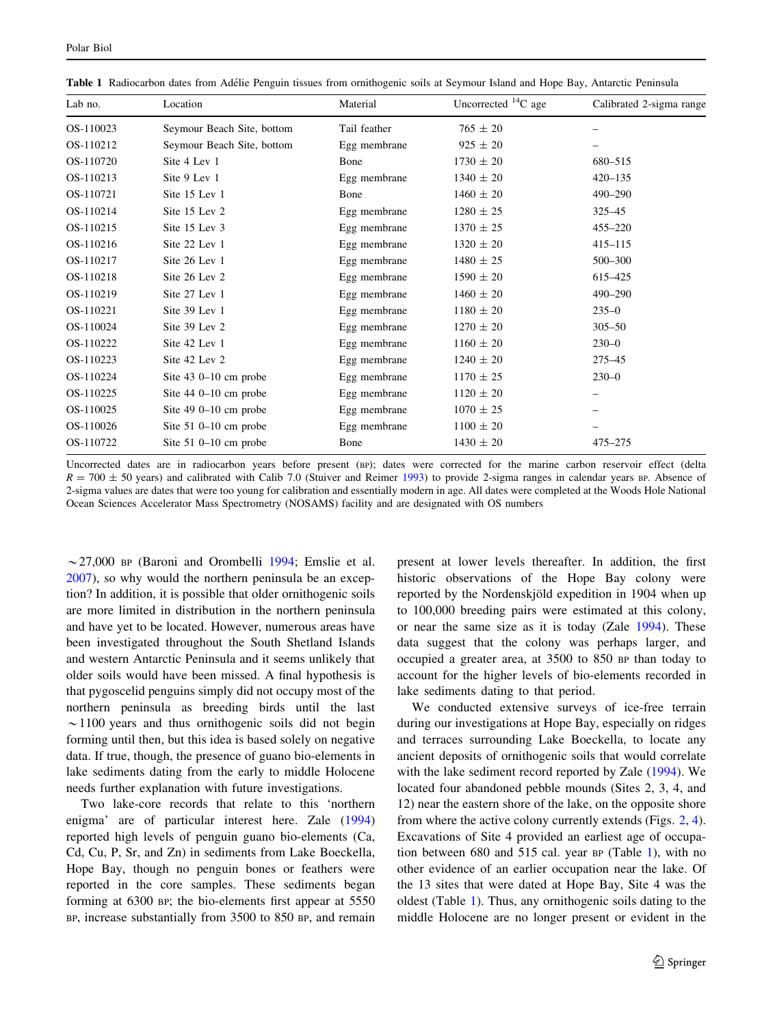| Lab no.   | Location                   | Material     | Uncorrected <sup>14</sup> C age | Calibrated 2-sigma range |
|-----------|----------------------------|--------------|---------------------------------|--------------------------|
| OS-110023 | Seymour Beach Site, bottom | Tail feather | $765 \pm 20$                    |                          |
| OS-110212 | Seymour Beach Site, bottom | Egg membrane | $925 \pm 20$                    |                          |
| OS-110720 | Site 4 Lev 1               | Bone         | $1730 \pm 20$                   | 680-515                  |
| OS-110213 | Site 9 Lev 1               | Egg membrane | $1340 \pm 20$                   | $420 - 135$              |
| OS-110721 | Site 15 Lev 1              | Bone         | $1460 \pm 20$                   | 490-290                  |
| OS-110214 | Site 15 Lev 2              | Egg membrane | $1280 \pm 25$                   | 325-45                   |
| OS-110215 | Site 15 Lev 3              | Egg membrane | $1370 \pm 25$                   | $455 - 220$              |
| OS-110216 | Site 22 Lev 1              | Egg membrane | $1320 \pm 20$                   | $415 - 115$              |
| OS-110217 | Site 26 Lev 1              | Egg membrane | $1480 \pm 25$                   | 500-300                  |
| OS-110218 | Site 26 Lev 2              | Egg membrane | $1590 \pm 20$                   | 615-425                  |
| OS-110219 | Site 27 Lev 1              | Egg membrane | $1460 \pm 20$                   | $490 - 290$              |
| OS-110221 | Site 39 Lev 1              | Egg membrane | $1180 \pm 20$                   | $235 - 0$                |
| OS-110024 | Site 39 Lev 2              | Egg membrane | $1270 \pm 20$                   | $305 - 50$               |
| OS-110222 | Site 42 Lev 1              | Egg membrane | $1160 \pm 20$                   | $230 - 0$                |
| OS-110223 | Site 42 Lev 2              | Egg membrane | $1240 \pm 20$                   | 275-45                   |
| OS-110224 | Site $43$ 0-10 cm probe    | Egg membrane | $1170 \pm 25$                   | $230 - 0$                |
| OS-110225 | Site $440-10$ cm probe     | Egg membrane | $1120 \pm 20$                   |                          |
| OS-110025 | Site 49 0-10 cm probe      | Egg membrane | $1070 \pm 25$                   |                          |
| OS-110026 | Site $51$ 0-10 cm probe    | Egg membrane | $1100 \pm 20$                   |                          |
| OS-110722 | Site $51$ 0-10 cm probe    | Bone         | $1430 \pm 20$                   | 475-275                  |

<span id="page-4-0"></span>Table 1 Radiocarbon dates from Adélie Penguin tissues from ornithogenic soils at Seymour Island and Hope Bay, Antarctic Peninsula

Uncorrected dates are in radiocarbon years before present (BP); dates were corrected for the marine carbon reservoir effect (delta  $R = 700 \pm 50$  years) and calibrated with Calib 7.0 (Stuiver and Reimer [1993](#page-6-0)) to provide 2-sigma ranges in calendar years BP. Absence of 2-sigma values are dates that were too young for calibration and essentially modern in age. All dates were completed at the Woods Hole National Ocean Sciences Accelerator Mass Spectrometry (NOSAMS) facility and are designated with OS numbers

 $\sim$  27,000 BP (Baroni and Orombelli [1994](#page-5-0); Emslie et al. [2007\)](#page-5-0), so why would the northern peninsula be an exception? In addition, it is possible that older ornithogenic soils are more limited in distribution in the northern peninsula and have yet to be located. However, numerous areas have been investigated throughout the South Shetland Islands and western Antarctic Peninsula and it seems unlikely that older soils would have been missed. A final hypothesis is that pygoscelid penguins simply did not occupy most of the northern peninsula as breeding birds until the last  $\sim$ 1100 years and thus ornithogenic soils did not begin forming until then, but this idea is based solely on negative data. If true, though, the presence of guano bio-elements in lake sediments dating from the early to middle Holocene needs further explanation with future investigations.

Two lake-core records that relate to this 'northern enigma' are of particular interest here. Zale ([1994\)](#page-6-0) reported high levels of penguin guano bio-elements (Ca, Cd, Cu, P, Sr, and Zn) in sediments from Lake Boeckella, Hope Bay, though no penguin bones or feathers were reported in the core samples. These sediments began forming at 6300 BP; the bio-elements first appear at 5550 BP, increase substantially from 3500 to 850 BP, and remain present at lower levels thereafter. In addition, the first historic observations of the Hope Bay colony were reported by the Nordenskjöld expedition in 1904 when up to 100,000 breeding pairs were estimated at this colony, or near the same size as it is today (Zale [1994\)](#page-6-0). These data suggest that the colony was perhaps larger, and occupied a greater area, at 3500 to 850 BP than today to account for the higher levels of bio-elements recorded in lake sediments dating to that period.

We conducted extensive surveys of ice-free terrain during our investigations at Hope Bay, especially on ridges and terraces surrounding Lake Boeckella, to locate any ancient deposits of ornithogenic soils that would correlate with the lake sediment record reported by Zale ([1994\)](#page-6-0). We located four abandoned pebble mounds (Sites 2, 3, 4, and 12) near the eastern shore of the lake, on the opposite shore from where the active colony currently extends (Figs. [2,](#page-2-0) [4](#page-3-0)). Excavations of Site 4 provided an earliest age of occupation between 680 and 515 cal. year BP (Table 1), with no other evidence of an earlier occupation near the lake. Of the 13 sites that were dated at Hope Bay, Site 4 was the oldest (Table 1). Thus, any ornithogenic soils dating to the middle Holocene are no longer present or evident in the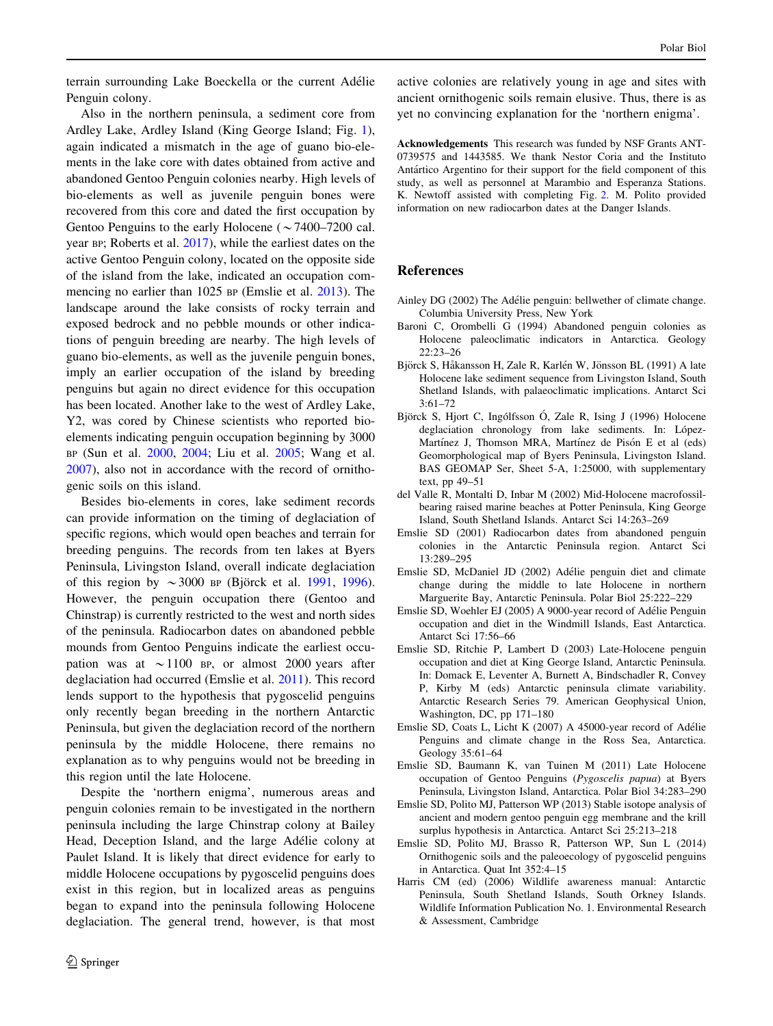<span id="page-5-0"></span>terrain surrounding Lake Boeckella or the current Adélie Penguin colony.

Also in the northern peninsula, a sediment core from Ardley Lake, Ardley Island (King George Island; Fig. [1](#page-1-0)), again indicated a mismatch in the age of guano bio-elements in the lake core with dates obtained from active and abandoned Gentoo Penguin colonies nearby. High levels of bio-elements as well as juvenile penguin bones were recovered from this core and dated the first occupation by Gentoo Penguins to the early Holocene ( $\sim$ 7400–7200 cal. year BP; Roberts et al. [2017](#page-6-0)), while the earliest dates on the active Gentoo Penguin colony, located on the opposite side of the island from the lake, indicated an occupation commencing no earlier than 1025 BP (Emslie et al. 2013). The landscape around the lake consists of rocky terrain and exposed bedrock and no pebble mounds or other indications of penguin breeding are nearby. The high levels of guano bio-elements, as well as the juvenile penguin bones, imply an earlier occupation of the island by breeding penguins but again no direct evidence for this occupation has been located. Another lake to the west of Ardley Lake, Y2, was cored by Chinese scientists who reported bioelements indicating penguin occupation beginning by 3000 BP (Sun et al. [2000](#page-6-0), [2004](#page-6-0); Liu et al. [2005;](#page-6-0) Wang et al. [2007\)](#page-6-0), also not in accordance with the record of ornithogenic soils on this island.

Besides bio-elements in cores, lake sediment records can provide information on the timing of deglaciation of specific regions, which would open beaches and terrain for breeding penguins. The records from ten lakes at Byers Peninsula, Livingston Island, overall indicate deglaciation of this region by  $\sim$  3000 BP (Björck et al. 1991, 1996). However, the penguin occupation there (Gentoo and Chinstrap) is currently restricted to the west and north sides of the peninsula. Radiocarbon dates on abandoned pebble mounds from Gentoo Penguins indicate the earliest occupation was at  $\sim$  1100 BP, or almost 2000 years after deglaciation had occurred (Emslie et al. 2011). This record lends support to the hypothesis that pygoscelid penguins only recently began breeding in the northern Antarctic Peninsula, but given the deglaciation record of the northern peninsula by the middle Holocene, there remains no explanation as to why penguins would not be breeding in this region until the late Holocene.

Despite the 'northern enigma', numerous areas and penguin colonies remain to be investigated in the northern peninsula including the large Chinstrap colony at Bailey Head, Deception Island, and the large Adélie colony at Paulet Island. It is likely that direct evidence for early to middle Holocene occupations by pygoscelid penguins does exist in this region, but in localized areas as penguins began to expand into the peninsula following Holocene deglaciation. The general trend, however, is that most

active colonies are relatively young in age and sites with ancient ornithogenic soils remain elusive. Thus, there is as yet no convincing explanation for the 'northern enigma'.

Acknowledgements This research was funded by NSF Grants ANT-0739575 and 1443585. We thank Nestor Coria and the Instituto Antártico Argentino for their support for the field component of this study, as well as personnel at Marambio and Esperanza Stations. K. Newtoff assisted with completing Fig. [2](#page-2-0). M. Polito provided information on new radiocarbon dates at the Danger Islands.

### References

- Ainley DG (2002) The Adélie penguin: bellwether of climate change. Columbia University Press, New York
- Baroni C, Orombelli G (1994) Abandoned penguin colonies as Holocene paleoclimatic indicators in Antarctica. Geology 22:23–26
- Björck S, Håkansson H, Zale R, Karlén W, Jönsson BL (1991) A late Holocene lake sediment sequence from Livingston Island, South Shetland Islands, with palaeoclimatic implications. Antarct Sci 3:61–72
- Björck S, Hjort C, Ingólfsson Ó, Zale R, Ising J (1996) Holocene deglaciation chronology from lake sediments. In: López-Martínez J, Thomson MRA, Martínez de Pisón E et al (eds) Geomorphological map of Byers Peninsula, Livingston Island. BAS GEOMAP Ser, Sheet 5-A, 1:25000, with supplementary text, pp 49–51
- del Valle R, Montalti D, Inbar M (2002) Mid-Holocene macrofossilbearing raised marine beaches at Potter Peninsula, King George Island, South Shetland Islands. Antarct Sci 14:263–269
- Emslie SD (2001) Radiocarbon dates from abandoned penguin colonies in the Antarctic Peninsula region. Antarct Sci 13:289–295
- Emslie SD, McDaniel JD (2002) Adélie penguin diet and climate change during the middle to late Holocene in northern Marguerite Bay, Antarctic Peninsula. Polar Biol 25:222–229
- Emslie SD, Woehler EJ (2005) A 9000-year record of Adélie Penguin occupation and diet in the Windmill Islands, East Antarctica. Antarct Sci 17:56–66
- Emslie SD, Ritchie P, Lambert D (2003) Late-Holocene penguin occupation and diet at King George Island, Antarctic Peninsula. In: Domack E, Leventer A, Burnett A, Bindschadler R, Convey P, Kirby M (eds) Antarctic peninsula climate variability. Antarctic Research Series 79. American Geophysical Union, Washington, DC, pp 171–180
- Emslie SD, Coats L, Licht K (2007) A 45000-year record of Adélie Penguins and climate change in the Ross Sea, Antarctica. Geology 35:61–64
- Emslie SD, Baumann K, van Tuinen M (2011) Late Holocene occupation of Gentoo Penguins (Pygoscelis papua) at Byers Peninsula, Livingston Island, Antarctica. Polar Biol 34:283–290
- Emslie SD, Polito MJ, Patterson WP (2013) Stable isotope analysis of ancient and modern gentoo penguin egg membrane and the krill surplus hypothesis in Antarctica. Antarct Sci 25:213–218
- Emslie SD, Polito MJ, Brasso R, Patterson WP, Sun L (2014) Ornithogenic soils and the paleoecology of pygoscelid penguins in Antarctica. Quat Int 352:4–15
- Harris CM (ed) (2006) Wildlife awareness manual: Antarctic Peninsula, South Shetland Islands, South Orkney Islands. Wildlife Information Publication No. 1. Environmental Research & Assessment, Cambridge